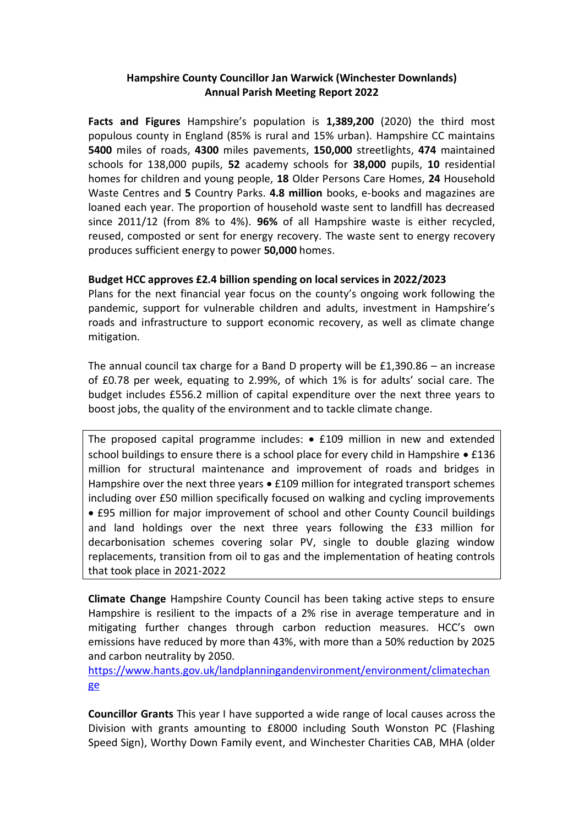## **Hampshire County Councillor Jan Warwick (Winchester Downlands) Annual Parish Meeting Report 2022**

**Facts and Figures** Hampshire's population is **1,389,200** (2020) the third most populous county in England (85% is rural and 15% urban). Hampshire CC maintains **5400** miles of roads, **4300** miles pavements, **150,000** streetlights, **474** maintained schools for 138,000 pupils, **52** academy schools for **38,000** pupils, **10** residential homes for children and young people, **18** Older Persons Care Homes, **24** Household Waste Centres and **5** Country Parks. **4.8 million** books, e-books and magazines are loaned each year. The proportion of household waste sent to landfill has decreased since 2011/12 (from 8% to 4%). **96%** of all Hampshire waste is either recycled, reused, composted or sent for energy recovery. The waste sent to energy recovery produces sufficient energy to power **50,000** homes.

## **Budget HCC approves £2.4 billion spending on local services in 2022/2023**

Plans for the next financial year focus on the county's ongoing work following the pandemic, support for vulnerable children and adults, investment in Hampshire's roads and infrastructure to support economic recovery, as well as climate change mitigation.

The annual council tax charge for a Band D property will be £1,390.86 – an increase of £0.78 per week, equating to 2.99%, of which 1% is for adults' social care. The budget includes £556.2 million of capital expenditure over the next three years to boost jobs, the quality of the environment and to tackle climate change.

The proposed capital programme includes:  $\bullet$  £109 million in new and extended school buildings to ensure there is a school place for every child in Hampshire  $\bullet$  £136 million for structural maintenance and improvement of roads and bridges in Hampshire over the next three years  $\bullet$  £109 million for integrated transport schemes including over £50 million specifically focused on walking and cycling improvements £95 million for major improvement of school and other County Council buildings and land holdings over the next three years following the £33 million for decarbonisation schemes covering solar PV, single to double glazing window replacements, transition from oil to gas and the implementation of heating controls that took place in 2021-2022

**Climate Change** Hampshire County Council has been taking active steps to ensure Hampshire is resilient to the impacts of a 2% rise in average temperature and in mitigating further changes through carbon reduction measures. HCC's own emissions have reduced by more than 43%, with more than a 50% reduction by 2025 and carbon neutrality by 2050.

[https://www.hants.gov.uk/landplanningandenvironment/environment/climatechan](https://www.hants.gov.uk/landplanningandenvironment/environment/climatechange) [ge](https://www.hants.gov.uk/landplanningandenvironment/environment/climatechange)

**Councillor Grants** This year I have supported a wide range of local causes across the Division with grants amounting to £8000 including South Wonston PC (Flashing Speed Sign), Worthy Down Family event, and Winchester Charities CAB, MHA (older